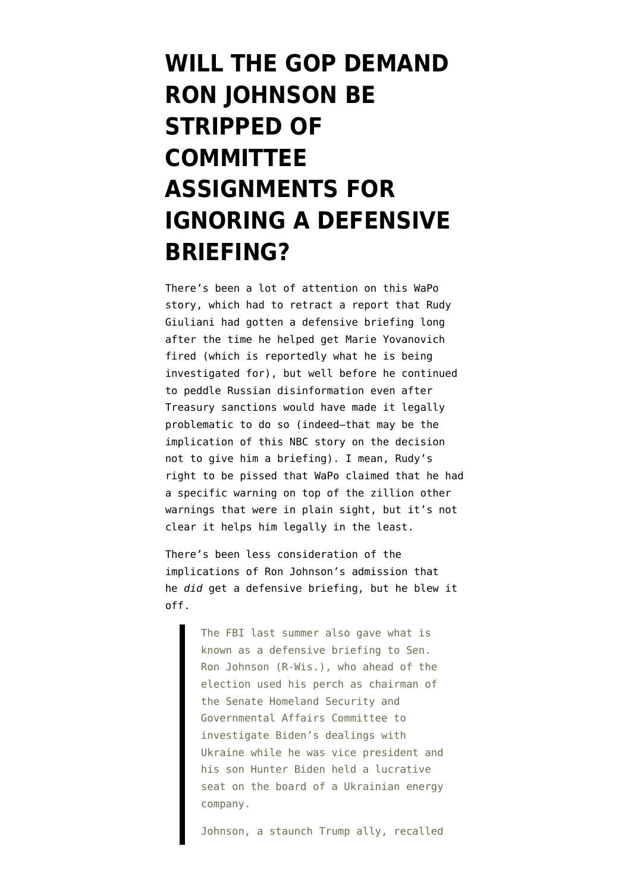## **[WILL THE GOP DEMAND](https://www.emptywheel.net/2021/05/02/will-the-gop-demand-ron-johnson-be-stripped-of-committee-assignments-for-ignoring-a-defensive-briefing/) [RON JOHNSON BE](https://www.emptywheel.net/2021/05/02/will-the-gop-demand-ron-johnson-be-stripped-of-committee-assignments-for-ignoring-a-defensive-briefing/) [STRIPPED OF](https://www.emptywheel.net/2021/05/02/will-the-gop-demand-ron-johnson-be-stripped-of-committee-assignments-for-ignoring-a-defensive-briefing/) [COMMITTEE](https://www.emptywheel.net/2021/05/02/will-the-gop-demand-ron-johnson-be-stripped-of-committee-assignments-for-ignoring-a-defensive-briefing/) [ASSIGNMENTS FOR](https://www.emptywheel.net/2021/05/02/will-the-gop-demand-ron-johnson-be-stripped-of-committee-assignments-for-ignoring-a-defensive-briefing/) [IGNORING A DEFENSIVE](https://www.emptywheel.net/2021/05/02/will-the-gop-demand-ron-johnson-be-stripped-of-committee-assignments-for-ignoring-a-defensive-briefing/) [BRIEFING?](https://www.emptywheel.net/2021/05/02/will-the-gop-demand-ron-johnson-be-stripped-of-committee-assignments-for-ignoring-a-defensive-briefing/)**

There's been a lot of attention on [this WaPo](https://www.washingtonpost.com/national-security/rudy-giuliani-fbi-warning-russia/2021/04/29/5db90f96-a84e-11eb-bca5-048b2759a489_story.html) [story](https://www.washingtonpost.com/national-security/rudy-giuliani-fbi-warning-russia/2021/04/29/5db90f96-a84e-11eb-bca5-048b2759a489_story.html), which had to retract a report that Rudy Giuliani had gotten a defensive briefing long after the time he helped get Marie Yovanovich fired (which is reportedly what he is being investigated for), but well before he continued to peddle Russian disinformation even after [Treasury sanctions](https://home.treasury.gov/news/press-releases/sm1118) would have made it legally problematic to do so (indeed–that may be the implication of [this NBC story](https://www.nbcnews.com/politics/justice-department/giuliani-received-2019-briefing-fbi-warning-he-was-target-russian-n1265971) on the decision not to give him a briefing). I mean, Rudy's right to be pissed that WaPo claimed that he had a specific warning on top of the zillion other warnings that were in plain sight, but it's not clear it helps him legally in the least.

There's been less consideration of the implications of Ron Johnson's admission that he *did* get a defensive briefing, but he blew it off.

> The FBI last summer also gave what is known as a defensive briefing to Sen. Ron Johnson (R-Wis.), who ahead of the election used his perch as chairman of the Senate Homeland Security and Governmental Affairs Committee to investigate Biden's dealings with Ukraine while he was vice president and his son Hunter Biden held a lucrative seat on the board of a Ukrainian energy company.

Johnson, a staunch Trump ally, recalled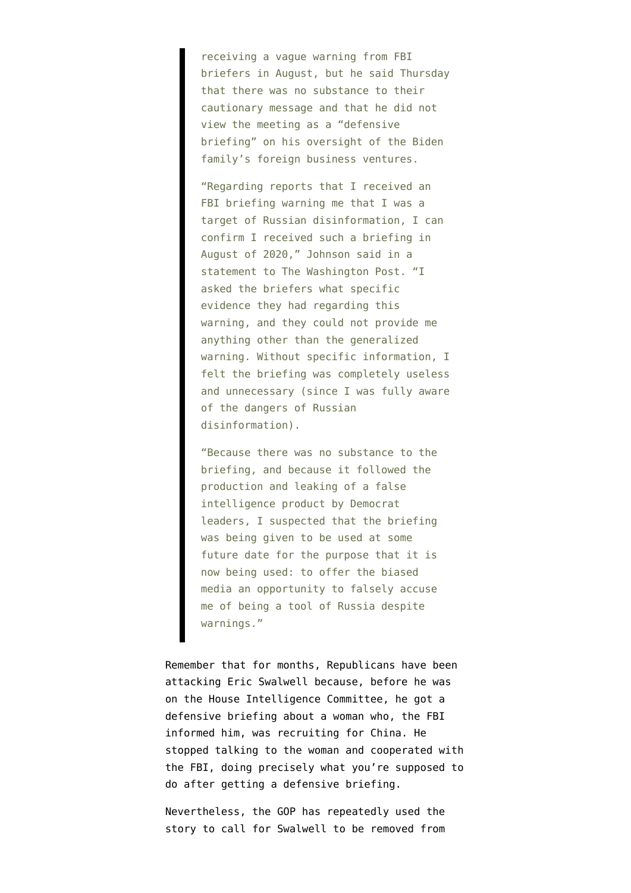receiving a vague warning from FBI briefers in August, but he said Thursday that there was no substance to their cautionary message and that he did not view the meeting as a "defensive briefing" on his oversight of the Biden family's foreign business ventures.

"Regarding reports that I received an FBI briefing warning me that I was a target of Russian disinformation, I can confirm I received such a briefing in August of 2020," Johnson said in a statement to The Washington Post. "I asked the briefers what specific evidence they had regarding this warning, and they could not provide me anything other than the generalized warning. Without specific information, I felt the briefing was completely useless and unnecessary (since I was fully aware of the dangers of Russian disinformation).

"Because there was no substance to the briefing, and because it followed the production and leaking of a false intelligence product by Democrat leaders, I suspected that the briefing was being given to be used at some future date for the purpose that it is now being used: to offer the biased media an opportunity to falsely accuse me of being a tool of Russia despite warnings."

Remember that for months, Republicans have been attacking Eric Swalwell because, before he was on the House Intelligence Committee, he got a defensive briefing about a woman who, the FBI informed him, was recruiting for China. He stopped talking to the woman and cooperated with the FBI, doing precisely what you're supposed to do after getting a defensive briefing.

Nevertheless, the GOP has repeatedly used the story to call for Swalwell to be removed from